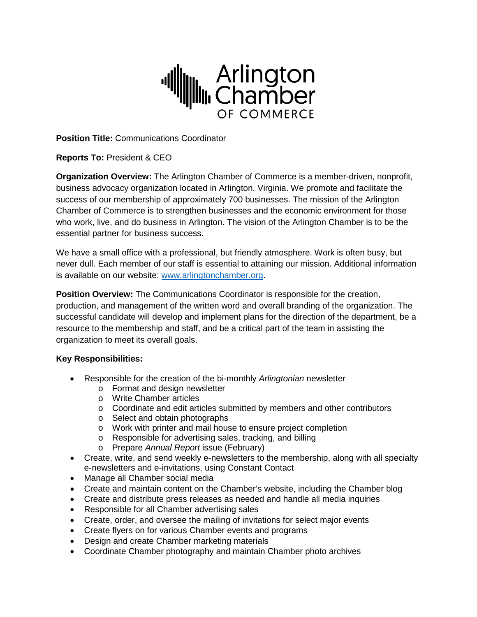

**Position Title:** Communications Coordinator

**Reports To:** President & CEO

**Organization Overview:** The Arlington Chamber of Commerce is a member-driven, nonprofit, business advocacy organization located in Arlington, Virginia. We promote and facilitate the success of our membership of approximately 700 businesses. The mission of the Arlington Chamber of Commerce is to strengthen businesses and the economic environment for those who work, live, and do business in Arlington. The vision of the Arlington Chamber is to be the essential partner for business success.

We have a small office with a professional, but friendly atmosphere. Work is often busy, but never dull. Each member of our staff is essential to attaining our mission. Additional information is available on our website: [www.arlingtonchamber.org.](http://www.arlingtonchamber.org/)

**Position Overview:** The Communications Coordinator is responsible for the creation, production, and management of the written word and overall branding of the organization. The successful candidate will develop and implement plans for the direction of the department, be a resource to the membership and staff, and be a critical part of the team in assisting the organization to meet its overall goals.

## **Key Responsibilities:**

- Responsible for the creation of the bi-monthly *Arlingtonian* newsletter
	- o Format and design newsletter
	- o Write Chamber articles
	- $\circ$  Coordinate and edit articles submitted by members and other contributors
	- o Select and obtain photographs
	- o Work with printer and mail house to ensure project completion
	- o Responsible for advertising sales, tracking, and billing
	- o Prepare *Annual Report* issue (February)
- Create, write, and send weekly e-newsletters to the membership, along with all specialty e-newsletters and e-invitations, using Constant Contact
- Manage all Chamber social media
- Create and maintain content on the Chamber's website, including the Chamber blog
- Create and distribute press releases as needed and handle all media inquiries
- Responsible for all Chamber advertising sales
- Create, order, and oversee the mailing of invitations for select major events
- Create flyers on for various Chamber events and programs
- Design and create Chamber marketing materials
- Coordinate Chamber photography and maintain Chamber photo archives